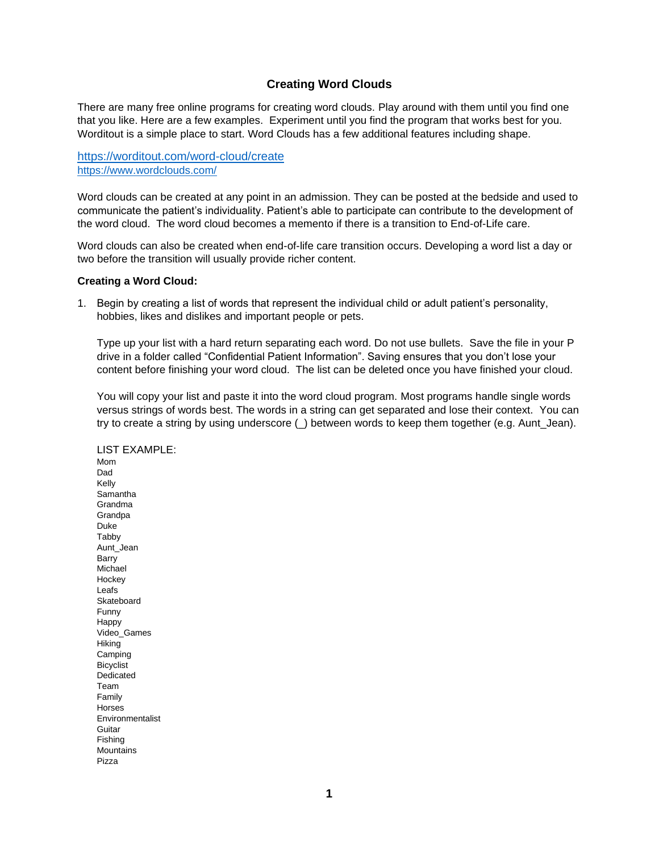## **Creating Word Clouds**

There are many free online programs for creating word clouds. Play around with them until you find one that you like. Here are a few examples. Experiment until you find the program that works best for you. Worditout is a simple place to start. Word Clouds has a few additional features including shape.

## <https://worditout.com/word-cloud/create> <https://www.wordclouds.com/>

Word clouds can be created at any point in an admission. They can be posted at the bedside and used to communicate the patient's individuality. Patient's able to participate can contribute to the development of the word cloud. The word cloud becomes a memento if there is a transition to End-of-Life care.

Word clouds can also be created when end-of-life care transition occurs. Developing a word list a day or two before the transition will usually provide richer content.

## **Creating a Word Cloud:**

1. Begin by creating a list of words that represent the individual child or adult patient's personality, hobbies, likes and dislikes and important people or pets.

Type up your list with a hard return separating each word. Do not use bullets. Save the file in your P drive in a folder called "Confidential Patient Information". Saving ensures that you don't lose your content before finishing your word cloud. The list can be deleted once you have finished your cloud.

You will copy your list and paste it into the word cloud program. Most programs handle single words versus strings of words best. The words in a string can get separated and lose their context. You can try to create a string by using underscore () between words to keep them together (e.g. Aunt Jean).

LIST EXAMPLE: Mom Dad Kelly Samantha Grandma **Grandpa** Duke Tabby Aunt\_Jean Barry Michael **Hockey** Leafs Skateboard Funny Happy Video\_Games Hiking Camping **Bicyclist** Dedicated Team Family Horses Environmentalist Guitar Fishing **Mountains** Pizza